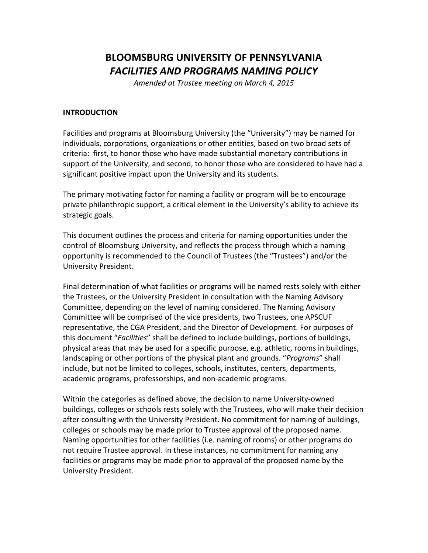# **BLOOMSBURG UNIVERSITY OF PENNSYLVANIA** *FACILITIES AND PROGRAMS NAMING POLICY*

*Amended at Trustee meeting on March 4, 2015*

# **INTRODUCTION**

Facilities and programs at Bloomsburg University (the "University") may be named for individuals, corporations, organizations or other entities, based on two broad sets of criteria: first, to honor those who have made substantial monetary contributions in support of the University, and second, to honor those who are considered to have had a significant positive impact upon the University and its students.

The primary motivating factor for naming a facility or program will be to encourage private philanthropic support, a critical element in the University's ability to achieve its strategic goals.

This document outlines the process and criteria for naming opportunities under the control of Bloomsburg University, and reflects the process through which a naming opportunity is recommended to the Council of Trustees (the "Trustees") and/or the University President.

Final determination of what facilities or programs will be named rests solely with either the Trustees, or the University President in consultation with the Naming Advisory Committee, depending on the level of naming considered. The Naming Advisory Committee will be comprised of the vice presidents, two Trustees, one APSCUF representative, the CGA President, and the Director of Development. For purposes of this document "*Facilities*" shall be defined to include buildings, portions of buildings, physical areas that may be used for a specific purpose, e.g. athletic, rooms in buildings, landscaping or other portions of the physical plant and grounds. "*Programs*" shall include, but not be limited to colleges, schools, institutes, centers, departments, academic programs, professorships, and non-academic programs.

Within the categories as defined above, the decision to name University-owned buildings, colleges or schools rests solely with the Trustees, who will make their decision after consulting with the University President. No commitment for naming of buildings, colleges or schools may be made prior to Trustee approval of the proposed name. Naming opportunities for other facilities (i.e. naming of rooms) or other programs do not require Trustee approval. In these instances, no commitment for naming any facilities or programs may be made prior to approval of the proposed name by the University President.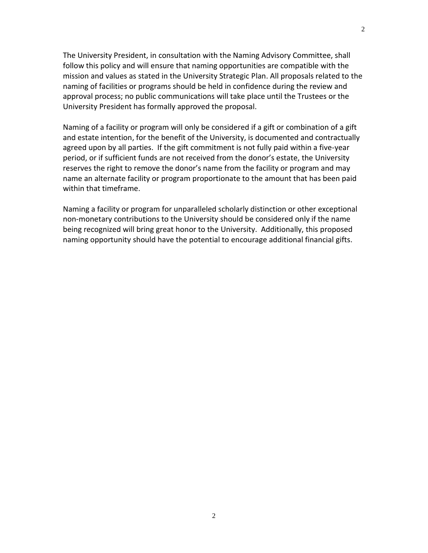The University President, in consultation with the Naming Advisory Committee, shall follow this policy and will ensure that naming opportunities are compatible with the mission and values as stated in the University Strategic Plan. All proposals related to the naming of facilities or programs should be held in confidence during the review and approval process; no public communications will take place until the Trustees or the University President has formally approved the proposal.

Naming of a facility or program will only be considered if a gift or combination of a gift and estate intention, for the benefit of the University, is documented and contractually agreed upon by all parties. If the gift commitment is not fully paid within a five-year period, or if sufficient funds are not received from the donor's estate, the University reserves the right to remove the donor's name from the facility or program and may name an alternate facility or program proportionate to the amount that has been paid within that timeframe.

Naming a facility or program for unparalleled scholarly distinction or other exceptional non-monetary contributions to the University should be considered only if the name being recognized will bring great honor to the University. Additionally, this proposed naming opportunity should have the potential to encourage additional financial gifts.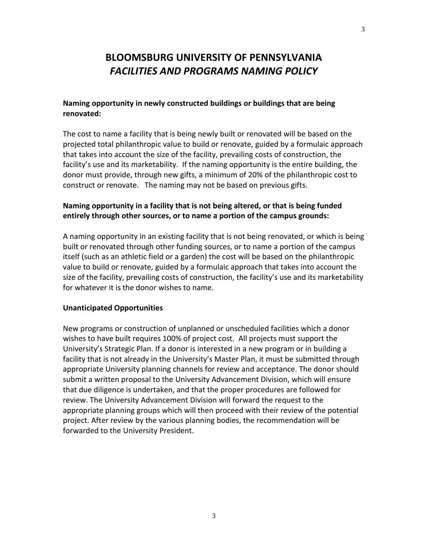# **BLOOMSBURG UNIVERSITY OF PENNSYLVANIA** *FACILITIES AND PROGRAMS NAMING POLICY*

# **Naming opportunity in newly constructed buildings or buildings that are being renovated:**

The cost to name a facility that is being newly built or renovated will be based on the projected total philanthropic value to build or renovate, guided by a formulaic approach that takes into account the size of the facility, prevailing costs of construction, the facility's use and its marketability. If the naming opportunity is the entire building, the donor must provide, through new gifts, a minimum of 20% of the philanthropic cost to construct or renovate. The naming may not be based on previous gifts.

# **Naming opportunity in a facility that is not being altered, or that is being funded entirely through other sources, or to name a portion of the campus grounds:**

A naming opportunity in an existing facility that is not being renovated, or which is being built or renovated through other funding sources, or to name a portion of the campus itself (such as an athletic field or a garden) the cost will be based on the philanthropic value to build or renovate, guided by a formulaic approach that takes into account the size of the facility, prevailing costs of construction, the facility's use and its marketability for whatever it is the donor wishes to name.

## **Unanticipated Opportunities**

New programs or construction of unplanned or unscheduled facilities which a donor wishes to have built requires 100% of project cost. All projects must support the University's Strategic Plan. If a donor is interested in a new program or in building a facility that is not already in the University's Master Plan, it must be submitted through appropriate University planning channels for review and acceptance. The donor should submit a written proposal to the University Advancement Division, which will ensure that due diligence is undertaken, and that the proper procedures are followed for review. The University Advancement Division will forward the request to the appropriate planning groups which will then proceed with their review of the potential project. After review by the various planning bodies, the recommendation will be forwarded to the University President.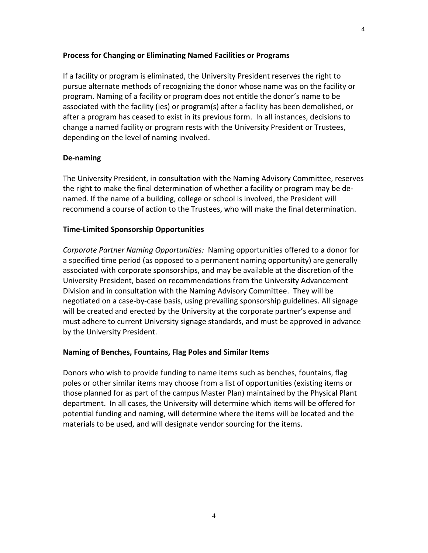## **Process for Changing or Eliminating Named Facilities or Programs**

If a facility or program is eliminated, the University President reserves the right to pursue alternate methods of recognizing the donor whose name was on the facility or program. Naming of a facility or program does not entitle the donor's name to be associated with the facility (ies) or program(s) after a facility has been demolished, or after a program has ceased to exist in its previous form. In all instances, decisions to change a named facility or program rests with the University President or Trustees, depending on the level of naming involved.

## **De-naming**

The University President, in consultation with the Naming Advisory Committee, reserves the right to make the final determination of whether a facility or program may be denamed. If the name of a building, college or school is involved, the President will recommend a course of action to the Trustees, who will make the final determination.

## **Time-Limited Sponsorship Opportunities**

*Corporate Partner Naming Opportunities:* Naming opportunities offered to a donor for a specified time period (as opposed to a permanent naming opportunity) are generally associated with corporate sponsorships, and may be available at the discretion of the University President, based on recommendations from the University Advancement Division and in consultation with the Naming Advisory Committee. They will be negotiated on a case-by-case basis, using prevailing sponsorship guidelines. All signage will be created and erected by the University at the corporate partner's expense and must adhere to current University signage standards, and must be approved in advance by the University President.

#### **Naming of Benches, Fountains, Flag Poles and Similar Items**

Donors who wish to provide funding to name items such as benches, fountains, flag poles or other similar items may choose from a list of opportunities (existing items or those planned for as part of the campus Master Plan) maintained by the Physical Plant department. In all cases, the University will determine which items will be offered for potential funding and naming, will determine where the items will be located and the materials to be used, and will designate vendor sourcing for the items.